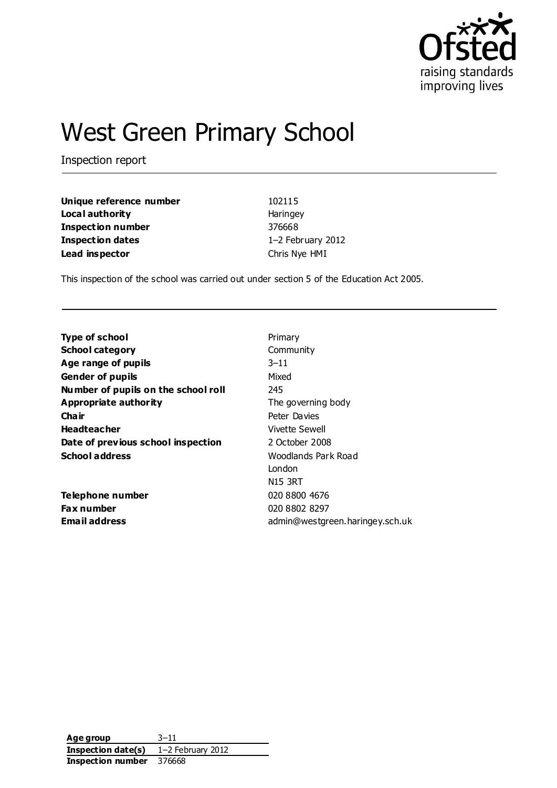

# West Green Primary School

Inspection report

| Unique reference number | 102115            |
|-------------------------|-------------------|
| Local authority         | Haringey          |
| Inspection number       | 376668            |
| <b>Inspection dates</b> | 1-2 February 2012 |
| Lead inspector          | Chris Nye HMI     |
|                         |                   |

This inspection of the school was carried out under section 5 of the Education Act 2005.

| <b>Type of school</b>               | Primary                         |
|-------------------------------------|---------------------------------|
| <b>School category</b>              | Community                       |
| Age range of pupils                 | $3 - 11$                        |
| <b>Gender of pupils</b>             | Mixed                           |
| Number of pupils on the school roll | 245                             |
| <b>Appropriate authority</b>        | The governing body              |
| Cha ir                              | Peter Davies                    |
| <b>Headteacher</b>                  | Vivette Sewell                  |
| Date of previous school inspection  | 2 October 2008                  |
| <b>School address</b>               | Woodlands Park Road             |
|                                     | London                          |
|                                     | <b>N15 3RT</b>                  |
| <b>Telephone number</b>             | 020 8800 4676                   |
| Fax number                          | 020 8802 8297                   |
| Email address                       | admin@westgreen.haringey.sch.uk |

**Age group** 3–11 **Inspection date(s)** 1–2 February 2012 **Inspection number** 376668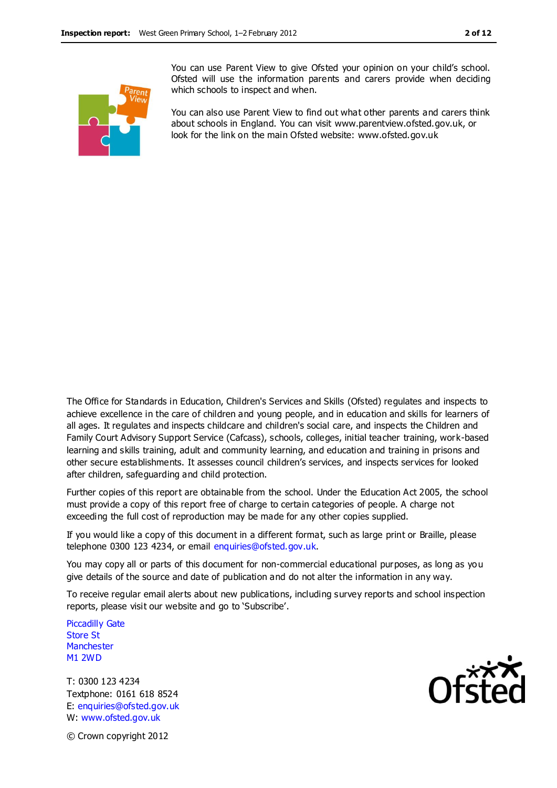

You can use Parent View to give Ofsted your opinion on your child's school. Ofsted will use the information parents and carers provide when deciding which schools to inspect and when.

You can also use Parent View to find out what other parents and carers think about schools in England. You can visit www.parentview.ofsted.gov.uk, or look for the link on the main Ofsted website: www.ofsted.gov.uk

The Office for Standards in Education, Children's Services and Skills (Ofsted) regulates and inspects to achieve excellence in the care of children and young people, and in education and skills for learners of all ages. It regulates and inspects childcare and children's social care, and inspects the Children and Family Court Advisory Support Service (Cafcass), schools, colleges, initial teacher training, work-based learning and skills training, adult and community learning, and education and training in prisons and other secure establishments. It assesses council children's services, and inspects services for looked after children, safeguarding and child protection.

Further copies of this report are obtainable from the school. Under the Education Act 2005, the school must provide a copy of this report free of charge to certain categories of people. A charge not exceeding the full cost of reproduction may be made for any other copies supplied.

If you would like a copy of this document in a different format, such as large print or Braille, please telephone 0300 123 4234, or email enquiries@ofsted.gov.uk.

You may copy all or parts of this document for non-commercial educational purposes, as long as you give details of the source and date of publication and do not alter the information in any way.

To receive regular email alerts about new publications, including survey reports and school inspection reports, please visit our website and go to 'Subscribe'.

Piccadilly Gate Store St **Manchester** M1 2WD

T: 0300 123 4234 Textphone: 0161 618 8524 E: enquiries@ofsted.gov.uk W: www.ofsted.gov.uk



© Crown copyright 2012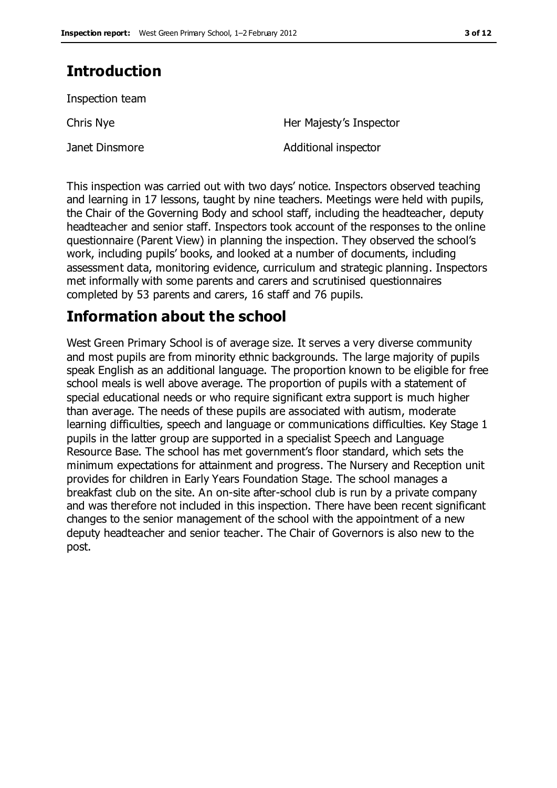# **Introduction**

Inspection team

Chris Nye **Her Majesty's Inspector** 

Janet Dinsmore **Additional inspector** 

This inspection was carried out with two days' notice. Inspectors observed teaching and learning in 17 lessons, taught by nine teachers. Meetings were held with pupils, the Chair of the Governing Body and school staff, including the headteacher, deputy headteacher and senior staff. Inspectors took account of the responses to the online questionnaire (Parent View) in planning the inspection. They observed the school's work, including pupils' books, and looked at a number of documents, including assessment data, monitoring evidence, curriculum and strategic planning. Inspectors met informally with some parents and carers and scrutinised questionnaires completed by 53 parents and carers, 16 staff and 76 pupils.

## **Information about the school**

West Green Primary School is of average size. It serves a very diverse community and most pupils are from minority ethnic backgrounds. The large majority of pupils speak English as an additional language. The proportion known to be eligible for free school meals is well above average. The proportion of pupils with a statement of special educational needs or who require significant extra support is much higher than average. The needs of these pupils are associated with autism, moderate learning difficulties, speech and language or communications difficulties. Key Stage 1 pupils in the latter group are supported in a specialist Speech and Language Resource Base. The school has met government's floor standard, which sets the minimum expectations for attainment and progress. The Nursery and Reception unit provides for children in Early Years Foundation Stage. The school manages a breakfast club on the site. An on-site after-school club is run by a private company and was therefore not included in this inspection. There have been recent significant changes to the senior management of the school with the appointment of a new deputy headteacher and senior teacher. The Chair of Governors is also new to the post.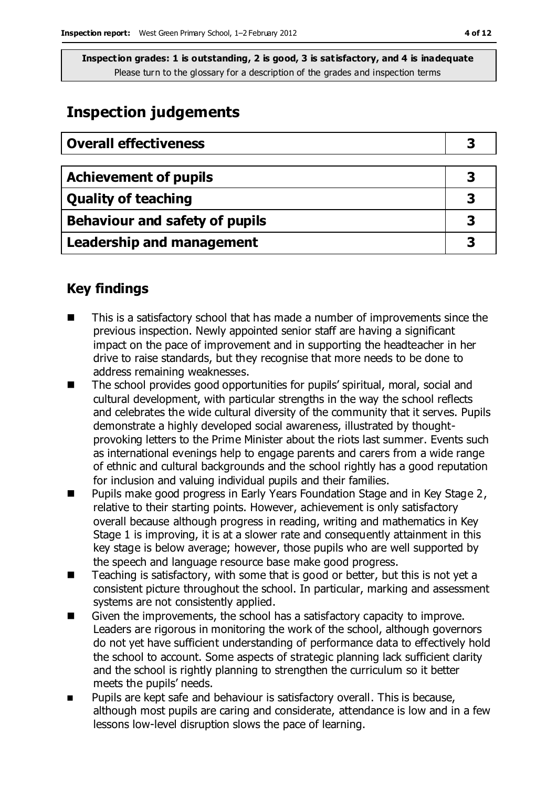# **Inspection judgements**

| <b>Overall effectiveness</b>   |   |
|--------------------------------|---|
|                                |   |
| <b>Achievement of pupils</b>   | З |
| <b>Quality of teaching</b>     | 3 |
| Behaviour and safety of pupils |   |
| Leadership and management      |   |

## **Key findings**

- This is a satisfactory school that has made a number of improvements since the previous inspection. Newly appointed senior staff are having a significant impact on the pace of improvement and in supporting the headteacher in her drive to raise standards, but they recognise that more needs to be done to address remaining weaknesses.
- The school provides good opportunities for pupils' spiritual, moral, social and cultural development, with particular strengths in the way the school reflects and celebrates the wide cultural diversity of the community that it serves. Pupils demonstrate a highly developed social awareness, illustrated by thoughtprovoking letters to the Prime Minister about the riots last summer. Events such as international evenings help to engage parents and carers from a wide range of ethnic and cultural backgrounds and the school rightly has a good reputation for inclusion and valuing individual pupils and their families.
- Pupils make good progress in Early Years Foundation Stage and in Key Stage 2, relative to their starting points. However, achievement is only satisfactory overall because although progress in reading, writing and mathematics in Key Stage 1 is improving, it is at a slower rate and consequently attainment in this key stage is below average; however, those pupils who are well supported by the speech and language resource base make good progress.
- Teaching is satisfactory, with some that is good or better, but this is not yet a consistent picture throughout the school. In particular, marking and assessment systems are not consistently applied.
- Given the improvements, the school has a satisfactory capacity to improve. Leaders are rigorous in monitoring the work of the school, although governors do not yet have sufficient understanding of performance data to effectively hold the school to account. Some aspects of strategic planning lack sufficient clarity and the school is rightly planning to strengthen the curriculum so it better meets the pupils' needs.
- **Pupils are kept safe and behaviour is satisfactory overall. This is because,** although most pupils are caring and considerate, attendance is low and in a few lessons low-level disruption slows the pace of learning.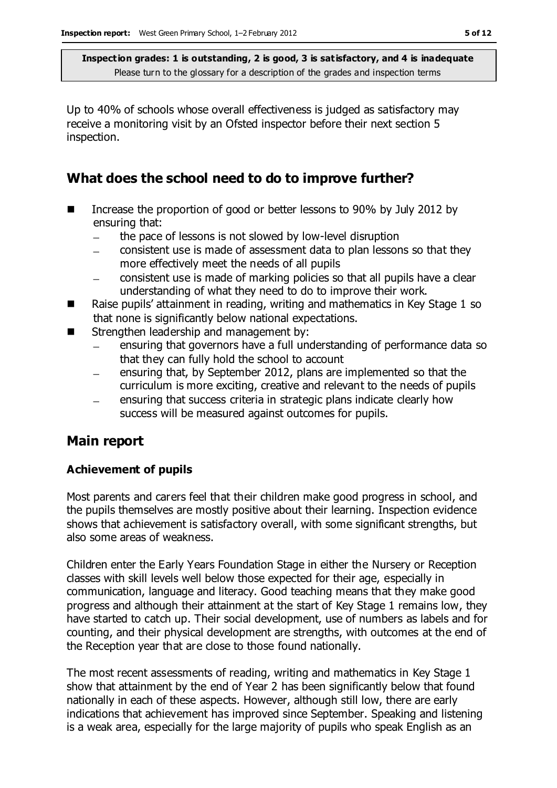Up to 40% of schools whose overall effectiveness is judged as satisfactory may receive a monitoring visit by an Ofsted inspector before their next section 5 inspection.

## **What does the school need to do to improve further?**

- Increase the proportion of good or better lessons to 90% by July 2012 by ensuring that:
	- the pace of lessons is not slowed by low-level disruption
	- consistent use is made of assessment data to plan lessons so that they more effectively meet the needs of all pupils
	- consistent use is made of marking policies so that all pupils have a clear understanding of what they need to do to improve their work.
- Raise pupils' attainment in reading, writing and mathematics in Key Stage 1 so that none is significantly below national expectations.
- Strengthen leadership and management by:
	- ensuring that governors have a full understanding of performance data so that they can fully hold the school to account
	- ensuring that, by September 2012, plans are implemented so that the curriculum is more exciting, creative and relevant to the needs of pupils
	- ensuring that success criteria in strategic plans indicate clearly how  $\overline{\phantom{m}}$ success will be measured against outcomes for pupils.

## **Main report**

### **Achievement of pupils**

Most parents and carers feel that their children make good progress in school, and the pupils themselves are mostly positive about their learning. Inspection evidence shows that achievement is satisfactory overall, with some significant strengths, but also some areas of weakness.

Children enter the Early Years Foundation Stage in either the Nursery or Reception classes with skill levels well below those expected for their age, especially in communication, language and literacy. Good teaching means that they make good progress and although their attainment at the start of Key Stage 1 remains low, they have started to catch up. Their social development, use of numbers as labels and for counting, and their physical development are strengths, with outcomes at the end of the Reception year that are close to those found nationally.

The most recent assessments of reading, writing and mathematics in Key Stage 1 show that attainment by the end of Year 2 has been significantly below that found nationally in each of these aspects. However, although still low, there are early indications that achievement has improved since September. Speaking and listening is a weak area, especially for the large majority of pupils who speak English as an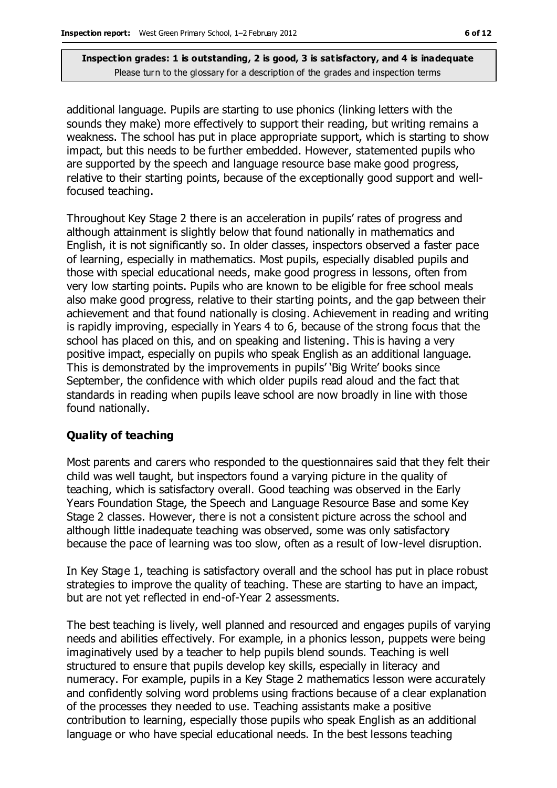additional language. Pupils are starting to use phonics (linking letters with the sounds they make) more effectively to support their reading, but writing remains a weakness. The school has put in place appropriate support, which is starting to show impact, but this needs to be further embedded. However, statemented pupils who are supported by the speech and language resource base make good progress, relative to their starting points, because of the exceptionally good support and wellfocused teaching.

Throughout Key Stage 2 there is an acceleration in pupils' rates of progress and although attainment is slightly below that found nationally in mathematics and English, it is not significantly so. In older classes, inspectors observed a faster pace of learning, especially in mathematics. Most pupils, especially disabled pupils and those with special educational needs, make good progress in lessons, often from very low starting points. Pupils who are known to be eligible for free school meals also make good progress, relative to their starting points, and the gap between their achievement and that found nationally is closing. Achievement in reading and writing is rapidly improving, especially in Years 4 to 6, because of the strong focus that the school has placed on this, and on speaking and listening. This is having a very positive impact, especially on pupils who speak English as an additional language. This is demonstrated by the improvements in pupils' 'Big Write' books since September, the confidence with which older pupils read aloud and the fact that standards in reading when pupils leave school are now broadly in line with those found nationally.

#### **Quality of teaching**

Most parents and carers who responded to the questionnaires said that they felt their child was well taught, but inspectors found a varying picture in the quality of teaching, which is satisfactory overall. Good teaching was observed in the Early Years Foundation Stage, the Speech and Language Resource Base and some Key Stage 2 classes. However, there is not a consistent picture across the school and although little inadequate teaching was observed, some was only satisfactory because the pace of learning was too slow, often as a result of low-level disruption.

In Key Stage 1, teaching is satisfactory overall and the school has put in place robust strategies to improve the quality of teaching. These are starting to have an impact, but are not yet reflected in end-of-Year 2 assessments.

The best teaching is lively, well planned and resourced and engages pupils of varying needs and abilities effectively. For example, in a phonics lesson, puppets were being imaginatively used by a teacher to help pupils blend sounds. Teaching is well structured to ensure that pupils develop key skills, especially in literacy and numeracy. For example, pupils in a Key Stage 2 mathematics lesson were accurately and confidently solving word problems using fractions because of a clear explanation of the processes they needed to use. Teaching assistants make a positive contribution to learning, especially those pupils who speak English as an additional language or who have special educational needs. In the best lessons teaching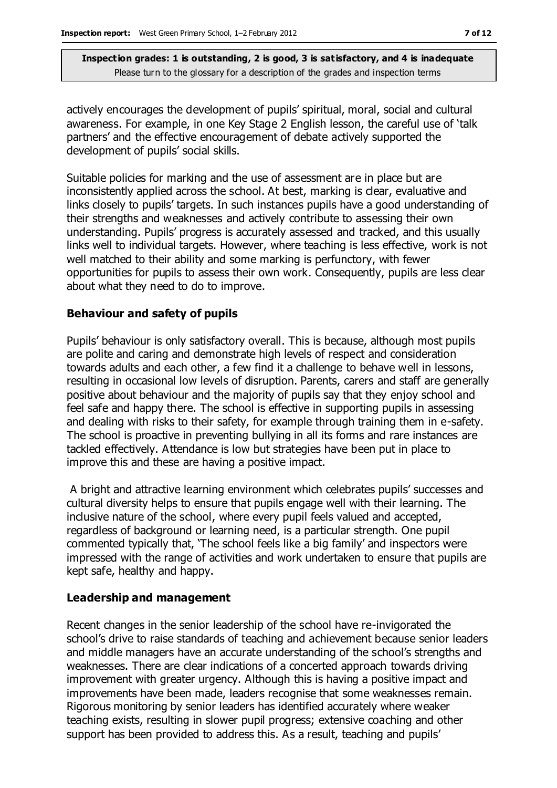actively encourages the development of pupils' spiritual, moral, social and cultural awareness. For example, in one Key Stage 2 English lesson, the careful use of 'talk partners' and the effective encouragement of debate actively supported the development of pupils' social skills.

Suitable policies for marking and the use of assessment are in place but are inconsistently applied across the school. At best, marking is clear, evaluative and links closely to pupils' targets. In such instances pupils have a good understanding of their strengths and weaknesses and actively contribute to assessing their own understanding. Pupils' progress is accurately assessed and tracked, and this usually links well to individual targets. However, where teaching is less effective, work is not well matched to their ability and some marking is perfunctory, with fewer opportunities for pupils to assess their own work. Consequently, pupils are less clear about what they need to do to improve.

#### **Behaviour and safety of pupils**

Pupils' behaviour is only satisfactory overall. This is because, although most pupils are polite and caring and demonstrate high levels of respect and consideration towards adults and each other, a few find it a challenge to behave well in lessons, resulting in occasional low levels of disruption. Parents, carers and staff are generally positive about behaviour and the majority of pupils say that they enjoy school and feel safe and happy there. The school is effective in supporting pupils in assessing and dealing with risks to their safety, for example through training them in e-safety. The school is proactive in preventing bullying in all its forms and rare instances are tackled effectively. Attendance is low but strategies have been put in place to improve this and these are having a positive impact.

A bright and attractive learning environment which celebrates pupils' successes and cultural diversity helps to ensure that pupils engage well with their learning. The inclusive nature of the school, where every pupil feels valued and accepted, regardless of background or learning need, is a particular strength. One pupil commented typically that, 'The school feels like a big family' and inspectors were impressed with the range of activities and work undertaken to ensure that pupils are kept safe, healthy and happy.

#### **Leadership and management**

Recent changes in the senior leadership of the school have re-invigorated the school's drive to raise standards of teaching and achievement because senior leaders and middle managers have an accurate understanding of the school's strengths and weaknesses. There are clear indications of a concerted approach towards driving improvement with greater urgency. Although this is having a positive impact and improvements have been made, leaders recognise that some weaknesses remain. Rigorous monitoring by senior leaders has identified accurately where weaker teaching exists, resulting in slower pupil progress; extensive coaching and other support has been provided to address this. As a result, teaching and pupils'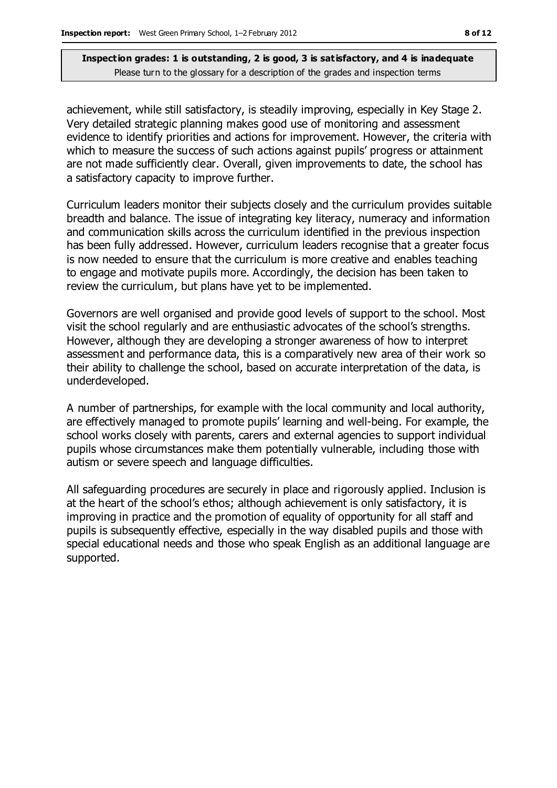achievement, while still satisfactory, is steadily improving, especially in Key Stage 2. Very detailed strategic planning makes good use of monitoring and assessment evidence to identify priorities and actions for improvement. However, the criteria with which to measure the success of such actions against pupils' progress or attainment are not made sufficiently clear. Overall, given improvements to date, the school has a satisfactory capacity to improve further.

Curriculum leaders monitor their subjects closely and the curriculum provides suitable breadth and balance. The issue of integrating key literacy, numeracy and information and communication skills across the curriculum identified in the previous inspection has been fully addressed. However, curriculum leaders recognise that a greater focus is now needed to ensure that the curriculum is more creative and enables teaching to engage and motivate pupils more. Accordingly, the decision has been taken to review the curriculum, but plans have yet to be implemented.

Governors are well organised and provide good levels of support to the school. Most visit the school regularly and are enthusiastic advocates of the school's strengths. However, although they are developing a stronger awareness of how to interpret assessment and performance data, this is a comparatively new area of their work so their ability to challenge the school, based on accurate interpretation of the data, is underdeveloped.

A number of partnerships, for example with the local community and local authority, are effectively managed to promote pupils' learning and well-being. For example, the school works closely with parents, carers and external agencies to support individual pupils whose circumstances make them potentially vulnerable, including those with autism or severe speech and language difficulties.

All safeguarding procedures are securely in place and rigorously applied. Inclusion is at the heart of the school's ethos; although achievement is only satisfactory, it is improving in practice and the promotion of equality of opportunity for all staff and pupils is subsequently effective, especially in the way disabled pupils and those with special educational needs and those who speak English as an additional language are supported.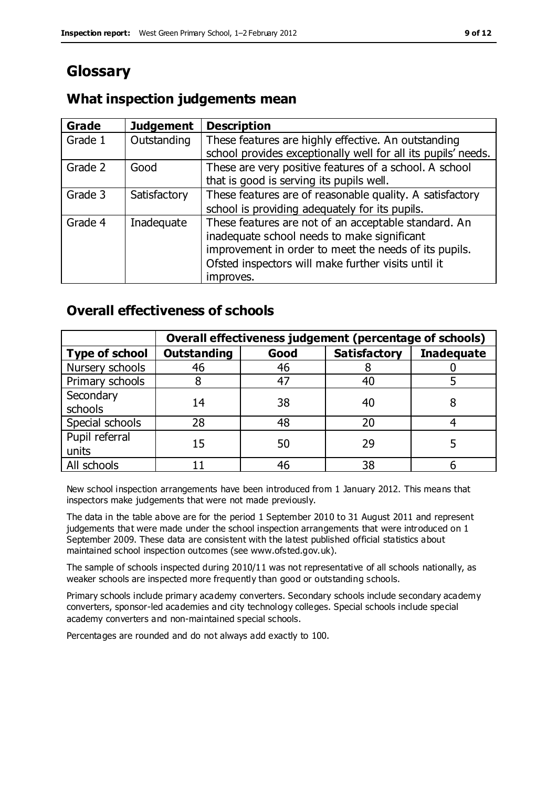# **Glossary**

## **What inspection judgements mean**

| Grade   | <b>Judgement</b> | <b>Description</b>                                                                                                                                                                                                               |
|---------|------------------|----------------------------------------------------------------------------------------------------------------------------------------------------------------------------------------------------------------------------------|
| Grade 1 | Outstanding      | These features are highly effective. An outstanding<br>school provides exceptionally well for all its pupils' needs.                                                                                                             |
| Grade 2 | Good             | These are very positive features of a school. A school<br>that is good is serving its pupils well.                                                                                                                               |
| Grade 3 | Satisfactory     | These features are of reasonable quality. A satisfactory<br>school is providing adequately for its pupils.                                                                                                                       |
| Grade 4 | Inadequate       | These features are not of an acceptable standard. An<br>inadequate school needs to make significant<br>improvement in order to meet the needs of its pupils.<br>Ofsted inspectors will make further visits until it<br>improves. |

## **Overall effectiveness of schools**

|                         | Overall effectiveness judgement (percentage of schools) |      |                     |                   |
|-------------------------|---------------------------------------------------------|------|---------------------|-------------------|
| <b>Type of school</b>   | <b>Outstanding</b>                                      | Good | <b>Satisfactory</b> | <b>Inadequate</b> |
| Nursery schools         | 46                                                      | 46   |                     |                   |
| Primary schools         |                                                         | 47   | 40                  |                   |
| Secondary<br>schools    | 14                                                      | 38   | 40                  |                   |
| Special schools         | 28                                                      | 48   | 20                  |                   |
| Pupil referral<br>units | 15                                                      | 50   | 29                  |                   |
| All schools             |                                                         | 46   | 38                  |                   |

New school inspection arrangements have been introduced from 1 January 2012. This means that inspectors make judgements that were not made previously.

The data in the table above are for the period 1 September 2010 to 31 August 2011 and represent judgements that were made under the school inspection arrangements that were introduced on 1 September 2009. These data are consistent with the latest published official statistics about maintained school inspection outcomes (see www.ofsted.gov.uk).

The sample of schools inspected during 2010/11 was not representative of all schools nationally, as weaker schools are inspected more frequently than good or outstanding schools.

Primary schools include primary academy converters. Secondary schools include secondary academy converters, sponsor-led academies and city technology colleges. Special schools include special academy converters and non-maintained special schools.

Percentages are rounded and do not always add exactly to 100.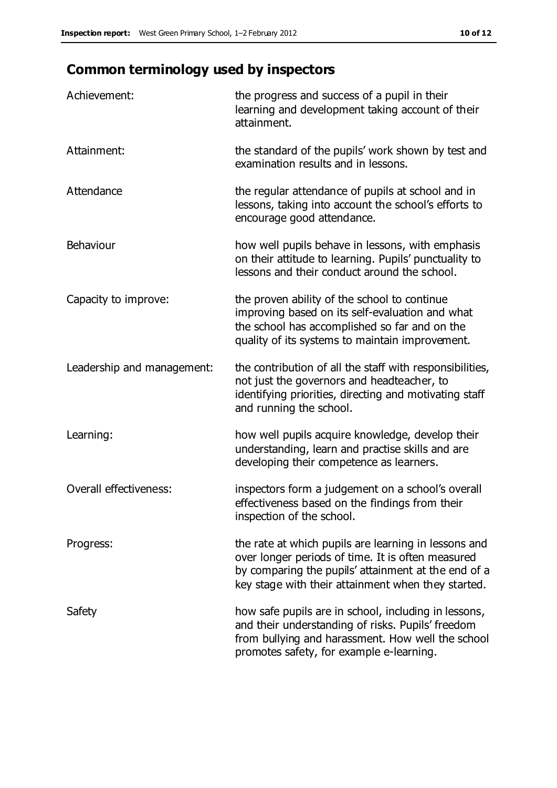# **Common terminology used by inspectors**

| Achievement:                  | the progress and success of a pupil in their<br>learning and development taking account of their<br>attainment.                                                                                                        |
|-------------------------------|------------------------------------------------------------------------------------------------------------------------------------------------------------------------------------------------------------------------|
| Attainment:                   | the standard of the pupils' work shown by test and<br>examination results and in lessons.                                                                                                                              |
| Attendance                    | the regular attendance of pupils at school and in<br>lessons, taking into account the school's efforts to<br>encourage good attendance.                                                                                |
| Behaviour                     | how well pupils behave in lessons, with emphasis<br>on their attitude to learning. Pupils' punctuality to<br>lessons and their conduct around the school.                                                              |
| Capacity to improve:          | the proven ability of the school to continue<br>improving based on its self-evaluation and what<br>the school has accomplished so far and on the<br>quality of its systems to maintain improvement.                    |
| Leadership and management:    | the contribution of all the staff with responsibilities,<br>not just the governors and headteacher, to<br>identifying priorities, directing and motivating staff<br>and running the school.                            |
| Learning:                     | how well pupils acquire knowledge, develop their<br>understanding, learn and practise skills and are<br>developing their competence as learners.                                                                       |
| <b>Overall effectiveness:</b> | inspectors form a judgement on a school's overall<br>effectiveness based on the findings from their<br>inspection of the school.                                                                                       |
| Progress:                     | the rate at which pupils are learning in lessons and<br>over longer periods of time. It is often measured<br>by comparing the pupils' attainment at the end of a<br>key stage with their attainment when they started. |
| Safety                        | how safe pupils are in school, including in lessons,<br>and their understanding of risks. Pupils' freedom<br>from bullying and harassment. How well the school<br>promotes safety, for example e-learning.             |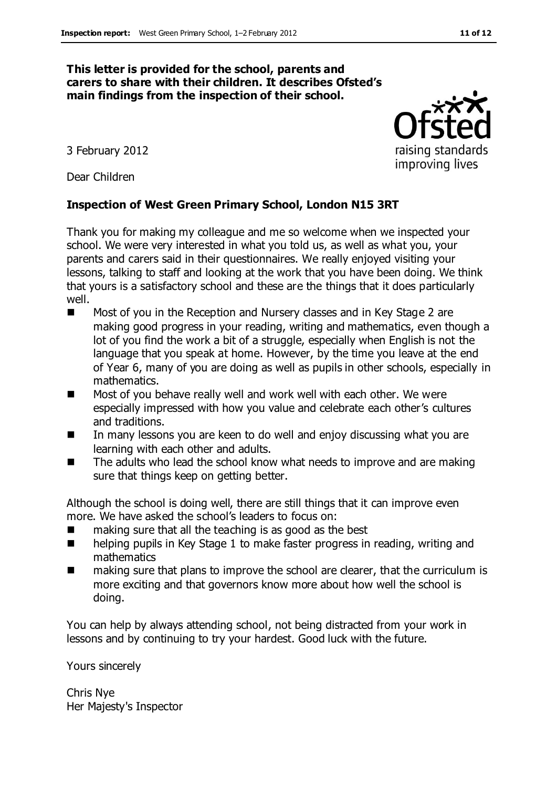#### **This letter is provided for the school, parents and carers to share with their children. It describes Ofsted's main findings from the inspection of their school.**

3 February 2012

Dear Children

#### **Inspection of West Green Primary School, London N15 3RT**

Thank you for making my colleague and me so welcome when we inspected your school. We were very interested in what you told us, as well as what you, your parents and carers said in their questionnaires. We really enjoyed visiting your lessons, talking to staff and looking at the work that you have been doing. We think that yours is a satisfactory school and these are the things that it does particularly well.

- Most of you in the Reception and Nursery classes and in Key Stage 2 are making good progress in your reading, writing and mathematics, even though a lot of you find the work a bit of a struggle, especially when English is not the language that you speak at home. However, by the time you leave at the end of Year 6, many of you are doing as well as pupils in other schools, especially in mathematics.
- Most of you behave really well and work well with each other. We were especially impressed with how you value and celebrate each other's cultures and traditions.
- In many lessons you are keen to do well and enjoy discussing what you are learning with each other and adults.
- The adults who lead the school know what needs to improve and are making sure that things keep on getting better.

Although the school is doing well, there are still things that it can improve even more. We have asked the school's leaders to focus on:

- making sure that all the teaching is as good as the best
- helping pupils in Key Stage 1 to make faster progress in reading, writing and mathematics
- making sure that plans to improve the school are clearer, that the curriculum is more exciting and that governors know more about how well the school is doing.

You can help by always attending school, not being distracted from your work in lessons and by continuing to try your hardest. Good luck with the future.

Yours sincerely

Chris Nye Her Majesty's Inspector